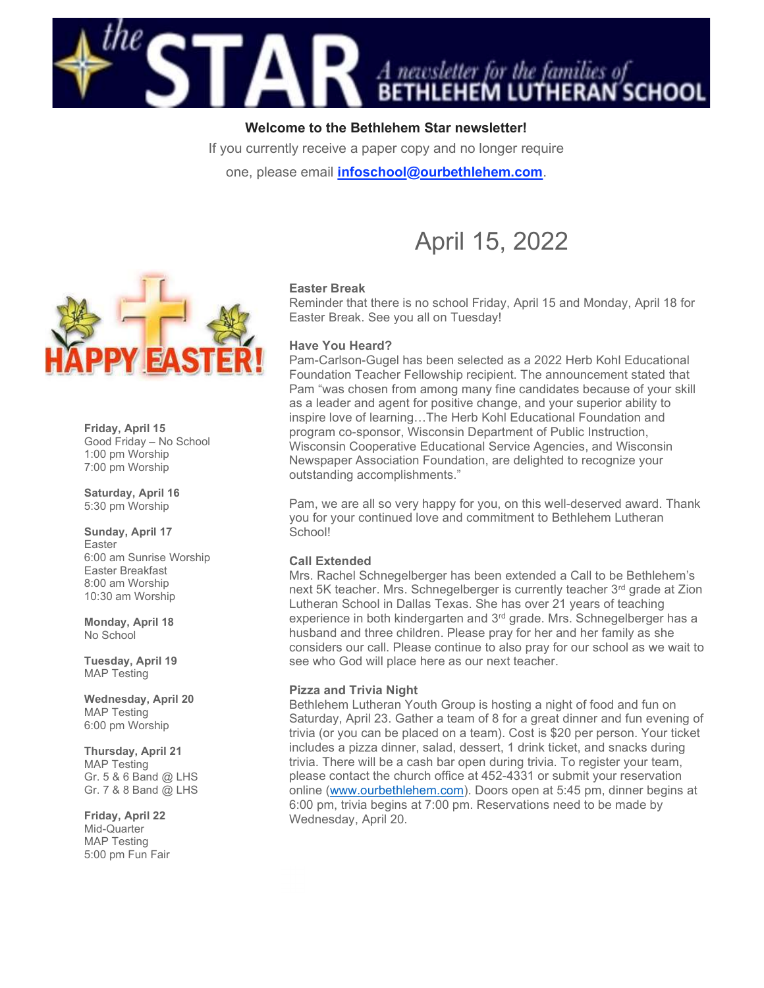

# Welcome to the Bethlehem Star newsletter!

If you currently receive a paper copy and no longer require

one, please email *infoschool@ourbethlehem.com*.



Friday, April 15 Good Friday – No School 1:00 pm Worship 7:00 pm Worship

Saturday, April 16 5:30 pm Worship

Sunday, April 17 Easter 6:00 am Sunrise Worship Easter Breakfast 8:00 am Worship 10:30 am Worship

Monday, April 18 No School

Tuesday, April 19 MAP Testing

Wednesday, April 20 MAP Testing 6:00 pm Worship

#### Thursday, April 21

MAP Testing Gr. 5 & 6 Band @ LHS Gr. 7 & 8 Band @ LHS

#### Friday, April 22

Mid-Quarter MAP Testing 5:00 pm Fun Fair

# Easter Break

Reminder that there is no school Friday, April 15 and Monday, April 18 for Easter Break. See you all on Tuesday!

April 15, 2022

#### Have You Heard?

Pam-Carlson-Gugel has been selected as a 2022 Herb Kohl Educational Foundation Teacher Fellowship recipient. The announcement stated that Pam "was chosen from among many fine candidates because of your skill as a leader and agent for positive change, and your superior ability to inspire love of learning…The Herb Kohl Educational Foundation and program co-sponsor, Wisconsin Department of Public Instruction, Wisconsin Cooperative Educational Service Agencies, and Wisconsin Newspaper Association Foundation, are delighted to recognize your outstanding accomplishments."

Pam, we are all so very happy for you, on this well-deserved award. Thank you for your continued love and commitment to Bethlehem Lutheran School!

#### Call Extended

Mrs. Rachel Schnegelberger has been extended a Call to be Bethlehem's next 5K teacher. Mrs. Schnegelberger is currently teacher 3rd grade at Zion Lutheran School in Dallas Texas. She has over 21 years of teaching experience in both kindergarten and 3<sup>rd</sup> grade. Mrs. Schnegelberger has a husband and three children. Please pray for her and her family as she considers our call. Please continue to also pray for our school as we wait to see who God will place here as our next teacher.

#### Pizza and Trivia Night

Bethlehem Lutheran Youth Group is hosting a night of food and fun on Saturday, April 23. Gather a team of 8 for a great dinner and fun evening of trivia (or you can be placed on a team). Cost is \$20 per person. Your ticket includes a pizza dinner, salad, dessert, 1 drink ticket, and snacks during trivia. There will be a cash bar open during trivia. To register your team, please contact the church office at 452-4331 or submit your reservation online (www.ourbethlehem.com). Doors open at 5:45 pm, dinner begins at 6:00 pm, trivia begins at 7:00 pm. Reservations need to be made by Wednesday, April 20.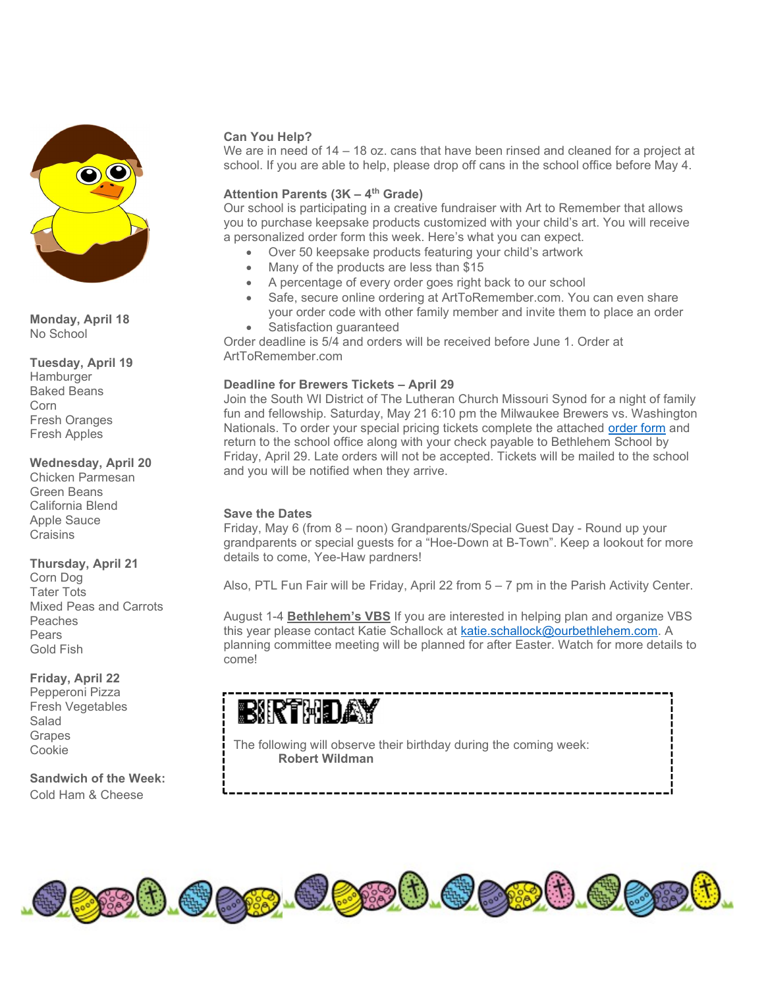

Monday, April 18 No School

Tuesday, April 19

**Hamburger** Baked Beans Corn Fresh Oranges Fresh Apples

Wednesday, April 20

Chicken Parmesan Green Beans California Blend Apple Sauce **Craisins** 

# Thursday, April 21

Corn Dog Tater Tots Mixed Peas and Carrots Peaches Pears Gold Fish

# Friday, April 22

Pepperoni Pizza Fresh Vegetables Salad **Grapes** Cookie

Sandwich of the Week: Cold Ham & Cheese

# Can You Help?

We are in need of 14 – 18 oz. cans that have been rinsed and cleaned for a project at school. If you are able to help, please drop off cans in the school office before May 4.

# Attention Parents  $(3K - 4<sup>th</sup> Grade)$

Our school is participating in a creative fundraiser with Art to Remember that allows you to purchase keepsake products customized with your child's art. You will receive a personalized order form this week. Here's what you can expect.

- Over 50 keepsake products featuring your child's artwork
- Many of the products are less than \$15
- A percentage of every order goes right back to our school
- Safe, secure online ordering at ArtToRemember.com. You can even share your order code with other family member and invite them to place an order
- Satisfaction guaranteed

Order deadline is 5/4 and orders will be received before June 1. Order at ArtToRemember.com

# Deadline for Brewers Tickets – April 29

Join the South WI District of The Lutheran Church Missouri Synod for a night of family fun and fellowship. Saturday, May 21 6:10 pm the Milwaukee Brewers vs. Washington Nationals. To order your special pricing tickets complete the attached order form and return to the school office along with your check payable to Bethlehem School by Friday, April 29. Late orders will not be accepted. Tickets will be mailed to the school and you will be notified when they arrive.

# Save the Dates

Friday, May 6 (from 8 – noon) Grandparents/Special Guest Day - Round up your grandparents or special guests for a "Hoe-Down at B-Town". Keep a lookout for more details to come, Yee-Haw pardners!

Also, PTL Fun Fair will be Friday, April 22 from 5 – 7 pm in the Parish Activity Center.

August 1-4 Bethlehem's VBS If you are interested in helping plan and organize VBS this year please contact Katie Schallock at katie.schallock@ourbethlehem.com. A planning committee meeting will be planned for after Easter. Watch for more details to come!

# BIRTHDAY

The following will observe their birthday during the coming week: Robert Wildman

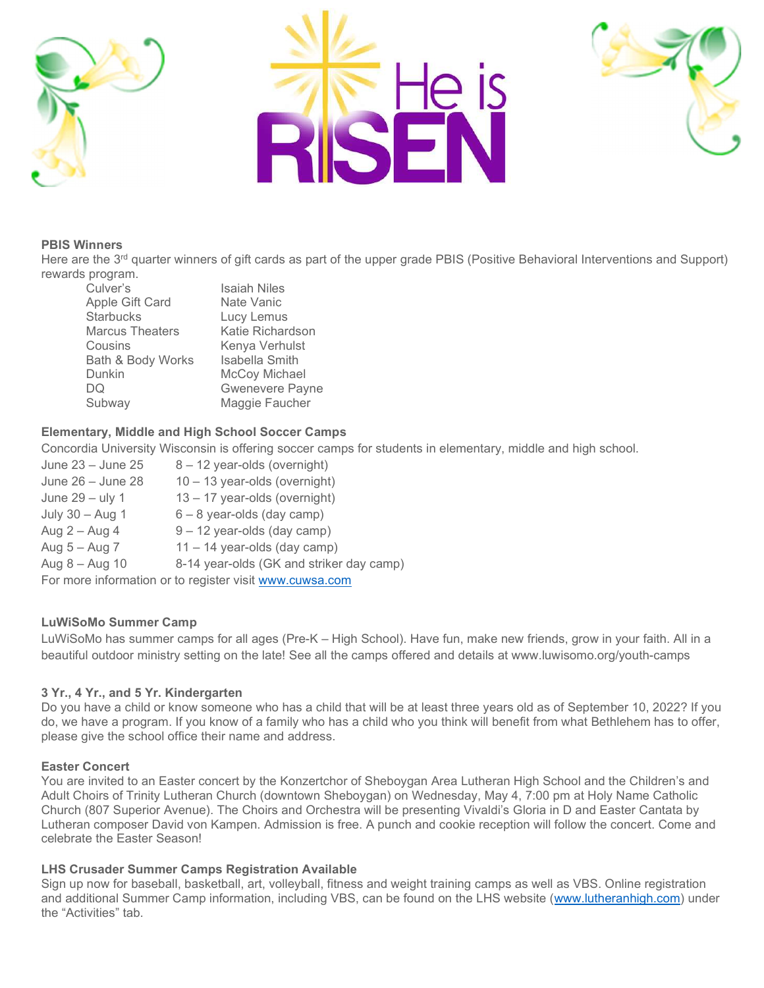





#### PBIS Winners

Here are the 3<sup>rd</sup> quarter winners of gift cards as part of the upper grade PBIS (Positive Behavioral Interventions and Support) rewards program.

| <b>Isaiah Niles</b>    |
|------------------------|
| Nate Vanic             |
| Lucy Lemus             |
| Katie Richardson       |
| Kenya Verhulst         |
| <b>Isabella Smith</b>  |
| McCoy Michael          |
| <b>Gwenevere Payne</b> |
| Maggie Faucher         |
|                        |

# Elementary, Middle and High School Soccer Camps

Concordia University Wisconsin is offering soccer camps for students in elementary, middle and high school.

June  $23 -$  June  $25 - 8 - 12$  year-olds (overnight) June  $26 -$  June  $28 - 10 - 13$  year-olds (overnight) June  $29 - \text{uly } 1$  13 – 17 year-olds (overnight) July  $30 -$ Aug 1 6 – 8 year-olds (day camp) Aug  $2 -$  Aug  $4 = 9 - 12$  year-olds (day camp) Aug  $5 -$ Aug  $7 - 11 - 14$  year-olds (day camp) Aug 8 – Aug 10 8-14 year-olds (GK and striker day camp) For more information or to register visit www.cuwsa.com

# LuWiSoMo Summer Camp

LuWiSoMo has summer camps for all ages (Pre-K – High School). Have fun, make new friends, grow in your faith. All in a beautiful outdoor ministry setting on the late! See all the camps offered and details at www.luwisomo.org/youth-camps

# 3 Yr., 4 Yr., and 5 Yr. Kindergarten

Do you have a child or know someone who has a child that will be at least three years old as of September 10, 2022? If you do, we have a program. If you know of a family who has a child who you think will benefit from what Bethlehem has to offer, please give the school office their name and address.

#### Easter Concert

You are invited to an Easter concert by the Konzertchor of Sheboygan Area Lutheran High School and the Children's and Adult Choirs of Trinity Lutheran Church (downtown Sheboygan) on Wednesday, May 4, 7:00 pm at Holy Name Catholic Church (807 Superior Avenue). The Choirs and Orchestra will be presenting Vivaldi's Gloria in D and Easter Cantata by Lutheran composer David von Kampen. Admission is free. A punch and cookie reception will follow the concert. Come and celebrate the Easter Season!

# LHS Crusader Summer Camps Registration Available

Sign up now for baseball, basketball, art, volleyball, fitness and weight training camps as well as VBS. Online registration and additional Summer Camp information, including VBS, can be found on the LHS website (www.lutheranhigh.com) under the "Activities" tab.